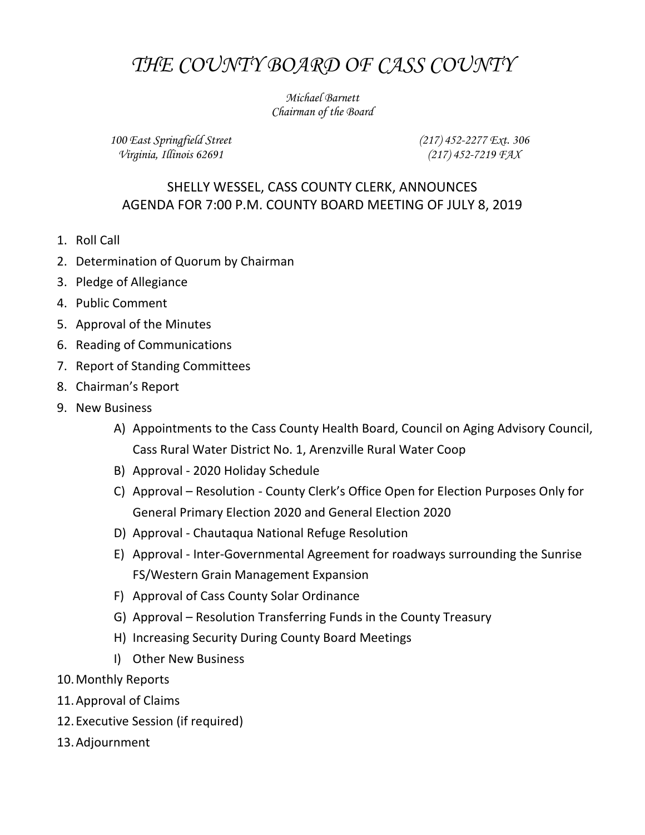## *THE COUNTY BOARD OF CASS COUNTY*

*Michael Barnett Chairman of the Board*

*100 East Springfield Street Virginia, Illinois 62691*

*(217) 452-2277 Ext. 306 (217) 452-7219 FAX*

## SHELLY WESSEL, CASS COUNTY CLERK, ANNOUNCES AGENDA FOR 7:00 P.M. COUNTY BOARD MEETING OF JULY 8, 2019

- 1. Roll Call
- 2. Determination of Quorum by Chairman
- 3. Pledge of Allegiance
- 4. Public Comment
- 5. Approval of the Minutes
- 6. Reading of Communications
- 7. Report of Standing Committees
- 8. Chairman's Report
- 9. New Business
	- A) Appointments to the Cass County Health Board, Council on Aging Advisory Council, Cass Rural Water District No. 1, Arenzville Rural Water Coop
	- B) Approval 2020 Holiday Schedule
	- C) Approval Resolution County Clerk's Office Open for Election Purposes Only for General Primary Election 2020 and General Election 2020
	- D) Approval Chautaqua National Refuge Resolution
	- E) Approval Inter-Governmental Agreement for roadways surrounding the Sunrise FS/Western Grain Management Expansion
	- F) Approval of Cass County Solar Ordinance
	- G) Approval Resolution Transferring Funds in the County Treasury
	- H) Increasing Security During County Board Meetings
	- I) Other New Business
- 10.Monthly Reports
- 11.Approval of Claims
- 12.Executive Session (if required)
- 13.Adjournment